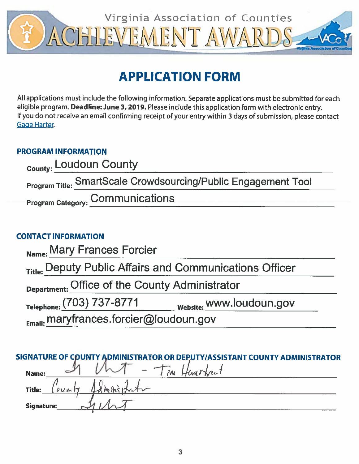

# **APPLICATION FORM**

All applications must include the following information. Separate applications must be submitted for each eligible program. Deadline: June 3, 2019. Please include this application form with electronic entry. If you do not receive an email confirming receipt of your entry within 3 days of submission, please contact **Gage Harter.** 

## **PROGRAM INFORMATION**

| <sub>County:</sub> Loudoun County                                     |  |
|-----------------------------------------------------------------------|--|
| <b>Program Title: SmartScale Crowdsourcing/Public Engagement Tool</b> |  |
| Program Category: Communications                                      |  |

## **CONTACT INFORMATION**

| Name: Mary Frances Forcier                              |                          |  |
|---------------------------------------------------------|--------------------------|--|
| Title: Deputy Public Affairs and Communications Officer |                          |  |
| Department: Office of the County Administrator          |                          |  |
| Telephone: (703) 737-8771                               | Website: WWW.loudoun.gov |  |
| Email: maryfrances.forcier@loudoun.gov                  |                          |  |

|                   |               | SIGNATURE OF COUNTY ADMINISTRATOR OR DEP,UTY/ASSISTANT COUNTY ADMINISTRATOR |
|-------------------|---------------|-----------------------------------------------------------------------------|
| Name:             |               | Hunstrut<br>$^{\prime}$ $\mathsf{M}$ $\mathsf{L}$                           |
| <b>Title:</b>     | $\omega_{un}$ | 1 dm night                                                                  |
| <b>Signature:</b> |               |                                                                             |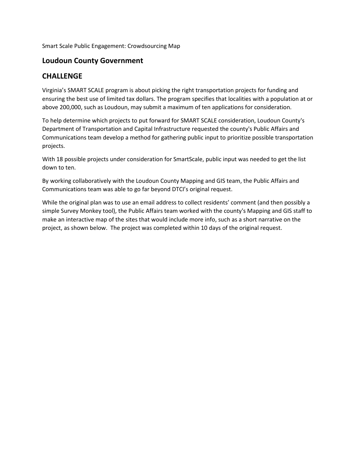Smart Scale Public Engagement: Crowdsourcing Map

#### **Loudoun County Government**

#### **CHALLENGE**

Virginia's SMART SCALE program is about picking the right transportation projects for funding and ensuring the best use of limited tax dollars. The program specifies that localities with a population at or above 200,000, such as Loudoun, may submit a maximum of ten applications for consideration.

To help determine which projects to put forward for SMART SCALE consideration, Loudoun County's Department of Transportation and Capital Infrastructure requested the county's Public Affairs and Communications team develop a method for gathering public input to prioritize possible transportation projects.

With 18 possible projects under consideration for SmartScale, public input was needed to get the list down to ten.

By working collaboratively with the Loudoun County Mapping and GIS team, the Public Affairs and Communications team was able to go far beyond DTCI's original request.

While the original plan was to use an email address to collect residents' comment (and then possibly a simple Survey Monkey tool), the Public Affairs team worked with the county's Mapping and GIS staff to make an interactive map of the sites that would include more info, such as a short narrative on the project, as shown below. The project was completed within 10 days of the original request.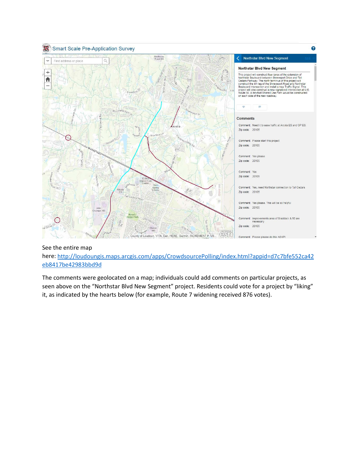

#### See the entire map

here: [http://loudoungis.maps.arcgis.com/apps/CrowdsourcePolling/index.html?appid=d7c7bfe552ca42](http://loudoungis.maps.arcgis.com/apps/CrowdsourcePolling/index.html?appid=d7c7bfe552ca42eb8417be42983bbd9d) [eb8417be42983bbd9d](http://loudoungis.maps.arcgis.com/apps/CrowdsourcePolling/index.html?appid=d7c7bfe552ca42eb8417be42983bbd9d)

The comments were geolocated on a map; individuals could add comments on particular projects, as seen above on the "Northstar Blvd New Segment" project. Residents could vote for a project by "liking" it, as indicated by the hearts below (for example, Route 7 widening received 876 votes).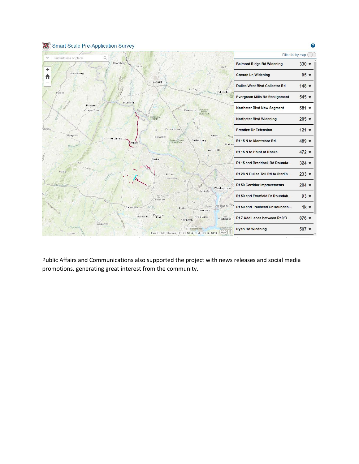

Public Affairs and Communications also supported the project with news releases and social media promotions, generating great interest from the community.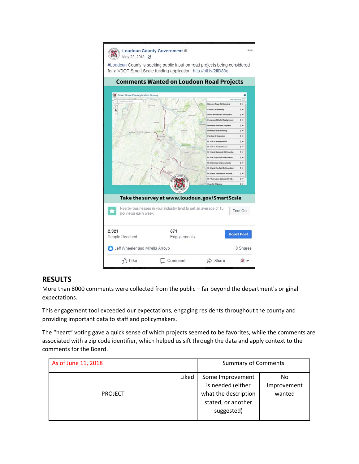

### **RESULTS**

More than 8000 comments were collected from the public – far beyond the department's original expectations.

This engagement tool exceeded our expectations, engaging residents throughout the county and providing important data to staff and policymakers.

The "heart" voting gave a quick sense of which projects seemed to be favorites, while the comments are associated with a zip code identifier, which helped us sift through the data and apply context to the comments for the Board.

| As of June 11, 2018 |       | <b>Summary of Comments</b>                                                                        |                             |
|---------------------|-------|---------------------------------------------------------------------------------------------------|-----------------------------|
| <b>PROJECT</b>      | Liked | Some Improvement<br>is needed (either<br>what the description<br>stated, or another<br>suggested) | No<br>Improvement<br>wanted |